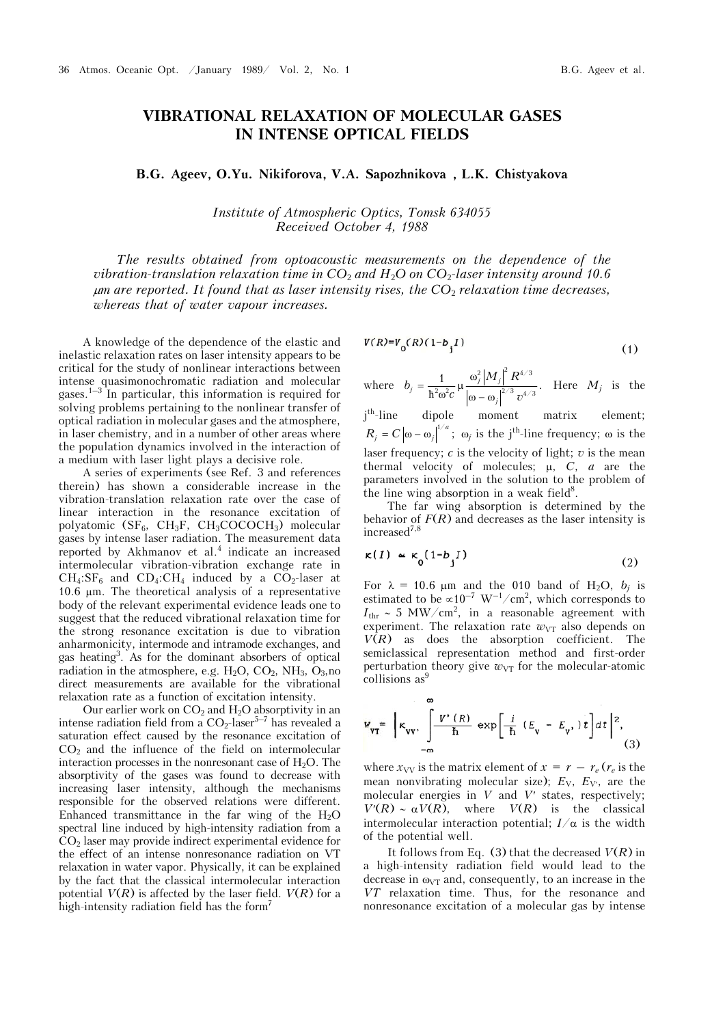# **VIBRATIONAL RELAXATION OF MOLECULAR GASES IN INTENSE OPTICAL FIELDS**

**Â.G. Ageev, O.Yu. Nikiforova, V.A. Sapozhnikova , L.K. Chistyakova**

*Institute of Atmospheric Optics, Tomsk 634055 Received October 4, 1988* 

*The results obtained from optoacoustic measurements on the dependence of the vibration-translation relaxation time in CO*2 *and H*2*O on CO*2*-laser intensity around 10.6 m are reported. It found that as laser intensity rises, the CO*2 *relaxation time decreases, whereas that of water vapour increases.* 

A knowledge of the dependence of the elastic and inelastic relaxation rates on laser intensity appears to be critical for the study of nonlinear interactions between intense quasimonochromatic radiation and molecular gases.<sup>1–3</sup> In particular, this information is required for solving problems pertaining to the nonlinear transfer of optical radiation in molecular gases and the atmosphere, in laser chemistry, and in a number of other areas where the population dynamics involved in the interaction of a medium with laser light plays a decisive role.

A series of experiments (see Ref. 3 and references therein) has shown a considerable increase in the vibration-translation relaxation rate over the case of linear interaction in the resonance excitation of polyatomic (SF<sub>6</sub>, CH<sub>3</sub>F, CH<sub>3</sub>COCOCH<sub>3</sub>) molecular gases by intense laser radiation. The measurement data reported by Akhmanov et al. $<sup>4</sup>$  indicate an increased</sup> intermolecular vibration-vibration exchange rate in  $CH_4: SF_6$  and  $CD_4: CH_4$  induced by a  $CO_2$ -laser at 10.6  $\mu$ m. The theoretical analysis of a representative body of the relevant experimental evidence leads one to suggest that the reduced vibrational relaxation time for the strong resonance excitation is due to vibration anharmonicity, intermode and intramode exchanges, and gas heating3 . As for the dominant absorbers of optical radiation in the atmosphere, e.g.  $H_2O$ ,  $CO_2$ ,  $NH_3$ ,  $O_3$ , no direct measurements are available for the vibrational relaxation rate as a function of excitation intensity.

Our earlier work on  $CO<sub>2</sub>$  and  $H<sub>2</sub>O$  absorptivity in an intense radiation field from a  $CO_2$ -laser<sup>5-7</sup> has revealed a saturation effect caused by the resonance excitation of  $CO<sub>2</sub>$  and the influence of the field on intermolecular interaction processes in the nonresonant case of  $H_2O$ . The absorptivity of the gases was found to decrease with increasing laser intensity, although the mechanisms responsible for the observed relations were different. Enhanced transmittance in the far wing of the  $H_2O$ spectral line induced by high-intensity radiation from a  $CO<sub>2</sub>$  laser may provide indirect experimental evidence for the effect of an intense nonresonance radiation on VT relaxation in water vapor. Physically, it can be explained by the fact that the classical intermolecular interaction potential  $V(R)$  is affected by the laser field.  $V(R)$  for a high-intensity radiation field has the form<sup>7</sup>

$$
V(R)=V_0(R)(1-b_jI)
$$
 (1)

where 
$$
b_j = \frac{1}{\hbar^2 \omega^2 c} \mu \frac{\omega_j^2 |M_j|^2 R^{4/3}}{|\omega - \omega_j|^{2/3} v^{4/3}}.
$$
 Here  $M_j$  is the

i<sup>th</sup>-line dipole moment matrix element;  $R_j = C |\omega - \omega_j|^{1/a}$ ;  $\omega_j$  is the j<sup>th</sup>-line frequency;  $\omega$  is the laser frequency; *c* is the velocity of light; *v* is the mean thermal velocity of molecules;  $\mu$ ,  $C$ ,  $a$  are the parameters involved in the solution to the problem of the line wing absorption in a weak field $8$ .

The far wing absorption is determined by the behavior of  $F(R)$  and decreases as the laser intensity is  $increased^{7,8}$ 

$$
\kappa(I) \simeq \kappa_0 (1 - b_j I) \tag{2}
$$

For  $\lambda = 10.6$  µm and the 010 band of H<sub>2</sub>O,  $b_j$  is estimated to be  $\propto 10^{-7}$  W<sup>-1</sup>/cm<sup>2</sup>, which corresponds to  $I_{\text{thr}} \sim 5 \text{ MW/cm}^2$ , in a reasonable agreement with experiment. The relaxation rate  $w_{VT}$  also depends on *V*(*R*) as does the absorption coefficient. The semiclassical representation method and first-order perturbation theory give  $w_{VT}$  for the molecular-atomic collisions as<sup>9</sup>

$$
W_{\text{VT}} = \left[ \kappa_{\text{vv}}, \int_{-\infty}^{\infty} \frac{V'(R)}{\hbar} \exp\left[\frac{i}{\hbar} \left(E_{\text{v}} - E_{\text{v}}\right)t\right] dt \right]^2, \tag{3}
$$

where  $x_{VV}$  is the matrix element of  $x = r - r_e$  ( $r_e$  is the mean nonvibrating molecular size);  $E_V$ ,  $E_{V}$ , are the molecular energies in  $V$  and  $V'$  states, respectively;  $V'(R) \sim \alpha V(R)$ , where  $V(R)$  is the classical intermolecular interaction potential;  $I/\alpha$  is the width of the potential well.

It follows from Eq. (3) that the decreased  $V(R)$  in a high-intensity radiation field would lead to the decrease in  $\omega_{VT}$  and, consequently, to an increase in the *VT* relaxation time. Thus, for the resonance and nonresonance excitation of a molecular gas by intense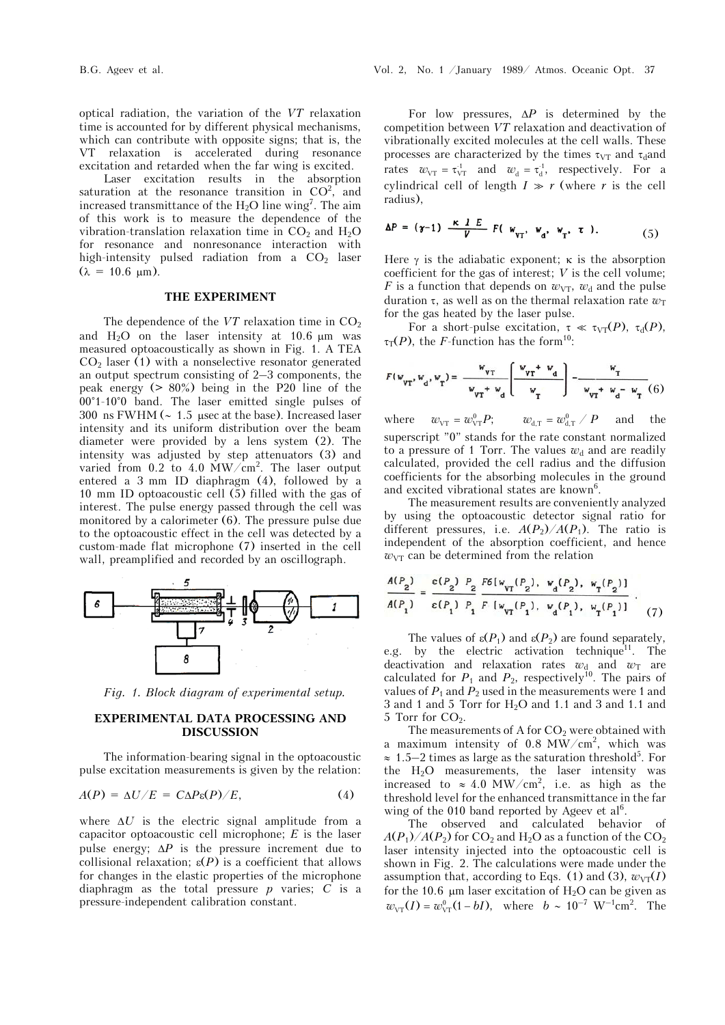optical radiation, the variation of the *VT* relaxation time is accounted for by different physical mechanisms, which can contribute with opposite signs; that is, the VT relaxation is accelerated during resonance excitation and retarded when the far wing is excited.

Laser excitation results in the absorption saturation at the resonance transition in  $CO<sup>2</sup>$ , and increased transmittance of the  $H_2O$  line wing<sup>7</sup>. The aim of this work is to measure the dependence of the vibration-translation relaxation time in  $CO<sub>2</sub>$  and  $H<sub>2</sub>O$ for resonance and nonresonance interaction with high-intensity pulsed radiation from a  $CO<sub>2</sub>$  laser  $(\lambda = 10.6 \mu m).$ 

## **THE EXPERIMENT**

The dependence of the  $VT$  relaxation time in  $CO<sub>2</sub>$ and  $H<sub>2</sub>O$  on the laser intensity at 10.6  $\mu$ m was measured optoacoustically as shown in Fig. 1. A TEA  $CO<sub>2</sub>$  laser (1) with a nonselective resonator generated an output spectrum consisting of 2–3 components, the peak energy  $(> 80\%)$  being in the P20 line of the 00°1-10°0 band. The laser emitted single pulses of 300 ns FWHM ( $\sim 1.5$  µsec at the base). Increased laser intensity and its uniform distribution over the beam diameter were provided by a lens system (2). The intensity was adjusted by step attenuators (3) and varied from 0.2 to 4.0  $\text{MW/cm}^2$ . The laser output entered a 3 mm ID diaphragm (4), followed by a 10 mm ID optoacoustic cell (5) filled with the gas of interest. The pulse energy passed through the cell was monitored by a calorimeter (6). The pressure pulse due to the optoacoustic effect in the cell was detected by a custom-made flat microphone (7) inserted in the cell wall, preamplified and recorded by an oscillograph.



*Fig. 1. Block diagram of experimental setup.* 

## **EXPERIMENTAL DATA PROCESSING AND DISCUSSION**

The information-bearing signal in the optoacoustic pulse excitation measurements is given by the relation:

$$
A(P) = \Delta U/E = C\Delta P \varepsilon(P)/E, \qquad (4)
$$

where  $\Delta U$  is the electric signal amplitude from a capacitor optoacoustic cell microphone; *E* is the laser pulse energy;  $\Delta P$  is the pressure increment due to collisional relaxation;  $\varepsilon(P)$  is a coefficient that allows for changes in the elastic properties of the microphone diaphragm as the total pressure  $p$  varies;  $C$  is a pressure-independent calibration constant.

For low pressures,  $\Delta P$  is determined by the competition between *VT* relaxation and deactivation of vibrationally excited molecules at the cell walls. These processes are characterized by the times  $\tau_{VT}$  and  $\tau_d$  and rates  $w_{\text{VT}} = \tau_{\text{VT}}^1$  and  $w_{\text{d}} = \tau_{\text{d}}^1$ , respectively. For a cylindrical cell of length  $I \gg r$  (where *r* is the cell radius),

$$
\Delta P = (\gamma - 1) \frac{\kappa}{V} \frac{I E}{V} F(\boldsymbol{w}_{\boldsymbol{v} \boldsymbol{r}}, \boldsymbol{w}_{\boldsymbol{d}}, \boldsymbol{w}_{\boldsymbol{r}}, \boldsymbol{\tau}). \tag{5}
$$

Here  $\gamma$  is the adiabatic exponent;  $\kappa$  is the absorption coefficient for the gas of interest; *V* is the cell volume; *F* is a function that depends on  $w_{VT}$ ,  $w_d$  and the pulse duration  $\tau$ , as well as on the thermal relaxation rate  $w_T$ for the gas heated by the laser pulse.

For a short-pulse excitation,  $\tau \ll \tau_{VT}(P)$ ,  $\tau_d(P)$ ,  $\tau_T(P)$ , the *F*-function has the form<sup>10</sup>:

$$
F(w_{\text{VT}}, w_{\text{d}}, w_{\text{T}}) = \frac{w_{\text{VT}}}{w_{\text{VT}} + w_{\text{d}}} \left[ \frac{w_{\text{VT}} + w_{\text{d}}}{w_{\text{T}}} \right] - \frac{w_{\text{T}}}{w_{\text{VT}} + w_{\text{d}} - w_{\text{T}}} (6)
$$

where  $w_{\text{vr}} = w_{\text{vr}}^0 P$ ;  $w_{\text{d,T}} = w_{\text{d,T}}^0 / P$  and the superscript "0" stands for the rate constant normalized to a pressure of 1 Torr. The values  $w_d$  and are readily calculated, provided the cell radius and the diffusion coefficients for the absorbing molecules in the ground and excited vibrational states are known<sup>6</sup>.

The measurement results are conveniently analyzed by using the optoacoustic detector signal ratio for different pressures, i.e.  $A(P_2)/A(P_1)$ . The ratio is independent of the absorption coefficient, and hence  $w_{VT}$  can be determined from the relation

$$
\frac{A(P_2)}{A(P_1)} = \frac{\varepsilon(P_2) P_2}{\varepsilon(P_1) P_1} \frac{F6[w_{\text{VT}}(P_2), w_{\text{d}}(P_2), w_{\text{T}}(P_2)]}{F [w_{\text{VT}}(P_1), w_{\text{d}}(P_1), w_{\text{T}}(P_1)]}.
$$
 (7)

The values of  $\varepsilon(P_1)$  and  $\varepsilon(P_2)$  are found separately, e.g. by the electric activation technique<sup>11</sup>. The deactivation and relaxation rates  $w_{d}$  and  $w_{T}$  are calculated for  $P_1$  and  $P_2$ , respectively<sup>10</sup>. The pairs of values of  $P_1$  and  $P_2$  used in the measurements were 1 and 3 and 1 and 5 Torr for H2O and 1.1 and 3 and 1.1 and 5 Torr for  $CO<sub>2</sub>$ .

The measurements of A for  $CO<sub>2</sub>$  were obtained with a maximum intensity of  $0.8 \text{ MW/cm}^2$ , which was  $\approx 1.5-2$  times as large as the saturation threshold<sup>5</sup>. For the H2O measurements, the laser intensity was increased to  $\approx 4.0 \text{ MW/cm}^2$ , i.e. as high as the threshold level for the enhanced transmittance in the far wing of the 010 band reported by Ageev et  $al<sup>6</sup>$ .

The observed and calculated behavior of  $A(P_1)/A(P_2)$  for CO<sub>2</sub> and H<sub>2</sub>O as a function of the CO<sub>2</sub> laser intensity injected into the optoacoustic cell is shown in Fig. 2. The calculations were made under the assumption that, according to Eqs. (1) and (3),  $w_{\text{VT}}(I)$ for the 10.6  $\mu$ m laser excitation of H<sub>2</sub>O can be given as  $w_{\text{VT}}(I) = w_{\text{VT}}^0(1 - bI)$ , where  $b \sim 10^{-7} \text{ W}^{-1} \text{cm}^2$ . The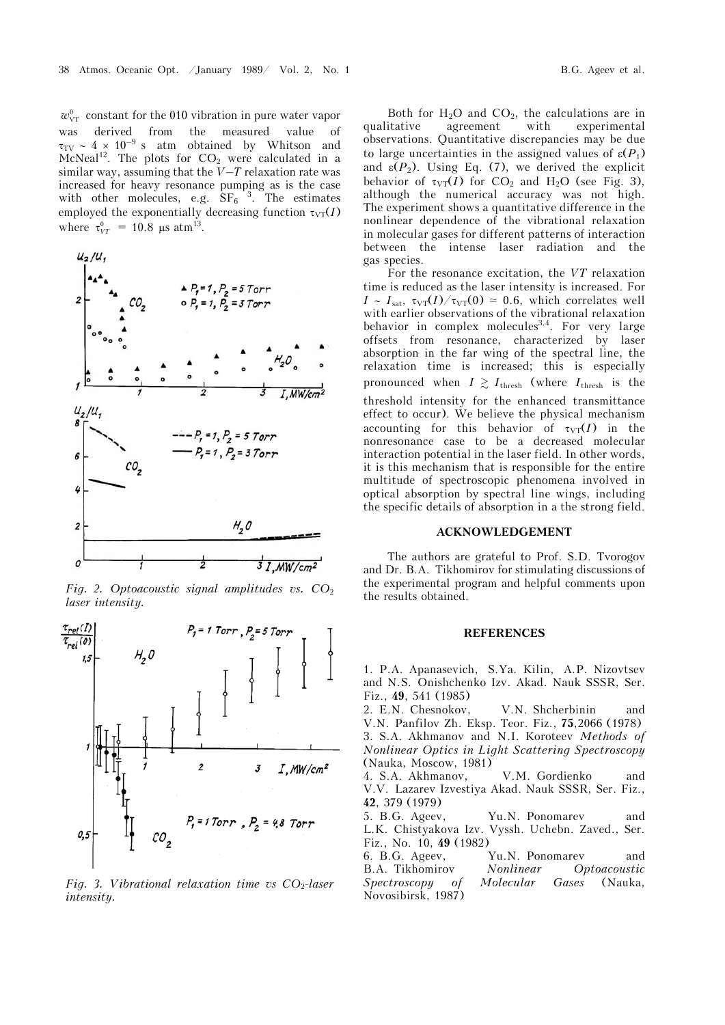$w_{\text{VT}}^0$  constant for the 010 vibration in pure water vapor was derived from the measured value of  $\tau_{\text{TV}} \sim 4 \times 10^{-9}$  s atm obtained by Whitson and McNeal<sup>12</sup>. The plots for  $CO<sub>2</sub>$  were calculated in a similar way, assuming that the *V*–*T* relaxation rate was increased for heavy resonance pumping as is the case with other molecules, e.g.  $SF_6^{-3}$ . The estimates employed the exponentially decreasing function  $\tau_{\text{VT}}(I)$ where  $\tau_{VT}^0 = 10.8 \text{ }\mu\text{s atm}^{13}$ .



*Fig. 2. Optoacoustic signal amplitudes vs. CO*<sup>2</sup> *laser intensity.*



*Fig. 3. Vibrational relaxation time vs CO*<sub>2</sub>-laser *intensity.*

Both for  $H_2O$  and  $CO_2$ , the calculations are in<br>qualitative agreement with experimental experimental observations. Quantitative discrepancies may be due to large uncertainties in the assigned values of  $\varepsilon(P_1)$ and  $\varepsilon(P_2)$ . Using Eq. (7), we derived the explicit behavior of  $\tau_{VT}(I)$  for CO<sub>2</sub> and H<sub>2</sub>O (see Fig. 3), although the numerical accuracy was not high. The experiment shows a quantitative difference in the nonlinear dependence of the vibrational relaxation in molecular gases for different patterns of interaction between the intense laser radiation and the gas species.

For the resonance excitation, the *VT* relaxation time is reduced as the laser intensity is increased. For  $I \sim I_{\text{sat}}$ ,  $\tau_{\text{VT}}(I)/\tau_{\text{VT}}(0) \simeq 0.6$ , which correlates well with earlier observations of the vibrational relaxation behavior in complex molecules<sup>3,4</sup>. For very large offsets from resonance, characterized by laser absorption in the far wing of the spectral line, the relaxation time is increased; this is especially pronounced when  $I \geq I_{\text{thresh}}$  (where  $I_{\text{thresh}}$  is the threshold intensity for the enhanced transmittance effect to occur). We believe the physical mechanism accounting for this behavior of  $\tau_{VT}(I)$  in the nonresonance case to be a decreased molecular interaction potential in the laser field. In other words, it is this mechanism that is responsible for the entire multitude of spectroscopic phenomena involved in optical absorption by spectral line wings, including the specific details of absorption in a the strong field.

## **ACKNOWLEDGEMENT**

The authors are grateful to Prof. S.D. Tvorogov and Dr. B.A. Tikhomirov for stimulating discussions of the experimental program and helpful comments upon the results obtained.

#### **REFERENCES**

1. P.A. Apanasevich, S.Ya. Kilin, A.P. Nizovtsev and N.S. Onishchenko Izv. Akad. Nauk SSSR, Ser. Fiz., **49**, 541 (1985)

2. E.N. Chesnokov, V.N. Shcherbinin and V.N. Panfilov Zh. Eksp. Teor. Fiz., **75**,2066 (1978) 3. S.A. Akhmanov and N.I. Koroteev *Methods of Nonlinear Optics in Light Scattering Spectroscopy* (Nauka, Moscow, 1981)

4. S.A. Akhmanov, V.M. Gordienko and V.V. Lazarev Izvestiya Akad. Nauk SSSR, Ser. Fiz., **42**, 379 (1979)

5. B.G. Ageev, Yu.N. Ponomarev and L.K. Chistyakova Izv. Vyssh. Uchebn. Zaved., Ser. Fiz., No. 10, **49** (1982)

6. B.G. Ageev, Yu.N. Ponomarev and B.A. Tikhomirov *Nonlinear Optoacoustic Spectroscopy of Molecular Gases* (Nauka, Novosibirsk, 1987)